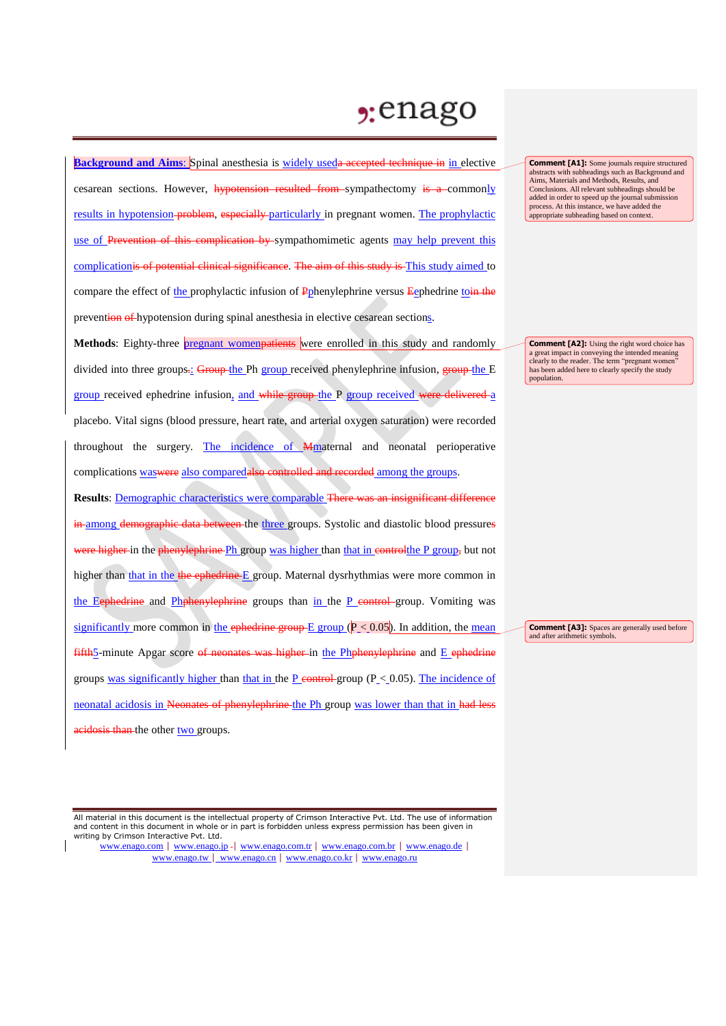## $2:$ enago

**Background and Aims:** Spinal anesthesia is widely useda accepted technique in in elective cesarean sections. However, hypotension resulted from sympathectomy is a commonly results in hypotension problem, especially particularly in pregnant women. The prophylactic use of Prevention of this complication by sympathomimetic agents may help prevent this complicationis of potential clinical significance. The aim of this study is This study aimed to compare the effect of the prophylactic infusion of Pphenylephrine versus Eephedrine toin the prevention of hypotension during spinal anesthesia in elective cesarean sections.

**Methods**: Eighty-three **pregnant womenpatients** were enrolled in this study and randomly divided into three groups.: Group the Ph group received phenylephrine infusion, **group** the E group received ephedrine infusion, and while group-the P group received were delivered a placebo. Vital signs (blood pressure, heart rate, and arterial oxygen saturation) were recorded throughout the surgery. The incidence of Mmaternal and neonatal perioperative complications was were also comparedalso controlled and recorded among the groups.

**Results**: Demographic characteristics were comparable There was an insignificant difference in among demographic data between the three groups. Systolic and diastolic blood pressures were higher in the phenylephrine Ph group was higher than that in control the P group, but not higher than that in the the ephedrine E group. Maternal dysrhythmias were more common in the Eephedrine and Phphenylephrine groups than in the P control-group. Vomiting was significantly more common in the ephedrine group  $E$  group ( $P < 0.05$ ). In addition, the mean  $f$ ifth<sub>2</sub>-minute Apgar score of neonates was higher in the Phphenylephrine and  $E$  ephedrine groups was significantly higher than that in the P control group  $(P<0.05)$ . The incidence of neonatal acidosis in Neonates of phenylephrine the Ph group was lower than that in had less acidosis than the other two groups.

All material in this document is the intellectual property of Crimson Interactive Pvt. Ltd. The use of information and content in this document in whole or in part is forbidden unless express permission has been given in writing by Crimson Interactive Pvt. Ltd.

www.enago.com | www.enago.jp - | www.enago.com.tr | www.enago.com.br | www.enago.de | www.enago.tw | www.enago.cn | www.enago.co.kr | www.enago.ru

**Comment [A1]:** Some journals require structured abstracts with subheadings such as Background and Aims, Materials and Methods, Results, and Conclusions. All relevant subheadings should be added in order to speed up the journal submission process. At this instance, we have added the appropriate subheading based on context.

**Comment [A2]:** Using the right word choice has a great impact in conveying the intended meaning clearly to the reader. The term "pregnant women" has been added here to clearly specify the study population.

**Comment [A3]:** Spaces are generally used before and after arithmetic symbols.